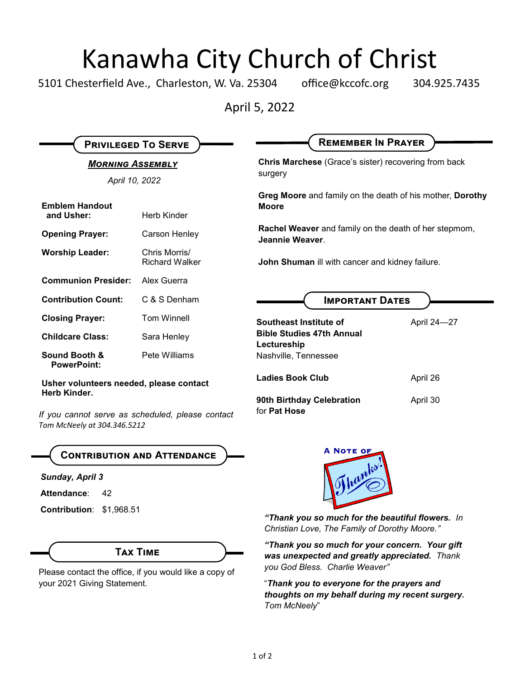## Kanawha City Church of Christ

5101 Chesterfield Ave., Charleston, W. Va. 25304 office@kccofc.org 304.925.7435

April 5, 2022

| <b>PRIVILEGED TO SERVE</b><br><b>MORNING ASSEMBLY</b><br>April 10, 2022 |                                        | <b>REMEMBER IN PRAYER</b><br><b>Chris Marchese</b> (Grace's sister) recovering from back<br>surgery |             |
|-------------------------------------------------------------------------|----------------------------------------|-----------------------------------------------------------------------------------------------------|-------------|
|                                                                         |                                        |                                                                                                     |             |
| <b>Opening Prayer:</b>                                                  | Carson Henley                          | <b>Rachel Weaver</b> and family on the death of her stepmom,<br>Jeannie Weaver                      |             |
| <b>Worship Leader:</b>                                                  | Chris Morris/<br><b>Richard Walker</b> | John Shuman ill with cancer and kidney failure.                                                     |             |
| <b>Communion Presider:</b>                                              | Alex Guerra                            |                                                                                                     |             |
| <b>Contribution Count:</b>                                              | C & S Denham                           | <b>IMPORTANT DATES</b>                                                                              |             |
| <b>Closing Prayer:</b>                                                  | <b>Tom Winnell</b>                     | Southeast Institute of                                                                              | April 24-27 |
| <b>Childcare Class:</b>                                                 | Sara Henley                            | <b>Bible Studies 47th Annual</b><br>Lectureship                                                     |             |
| <b>Sound Booth &amp;</b><br><b>PowerPoint:</b>                          | Pete Williams                          | Nashville, Tennessee                                                                                |             |
| Usher volunteers needed, please contact<br>Herb Kinder.                 |                                        | <b>Ladies Book Club</b>                                                                             | April 26    |
| If you cannot serve as scheduled, please contact                        |                                        | 90th Birthday Celebration<br>for Pat Hose                                                           | April 30    |

*Tom McNeely at 304.346.5212*

## **Contribution and Attendance**

*Sunday, April 3*

Attendance: 42

**Contribution**: \$1,968.51

### **Tax Time**

Please contact the office, if you would like a copy of your 2021 Giving Statement.



*"Thank you so much for the beautiful flowers. In Christian Love, The Family of Dorothy Moore."*

*"Thank you so much for your concern. Your gift was unexpected and greatly appreciated. Thank you God Bless. Charlie Weaver"*

"*Thank you to everyone for the prayers and thoughts on my behalf during my recent surgery. Tom McNeely*"